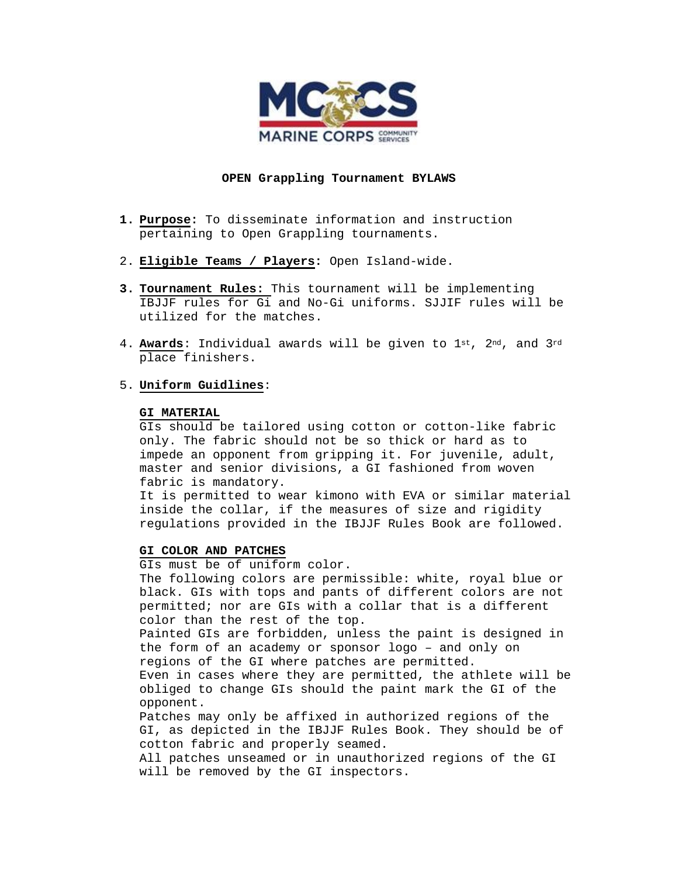

## **OPEN Grappling Tournament BYLAWS**

- **1. Purpose:** To disseminate information and instruction pertaining to Open Grappling tournaments.
- 2. **Eligible Teams / Players:** Open Island-wide.
- **3. Tournament Rules:** This tournament will be implementing IBJJF rules for Gi and No-Gi uniforms. SJJIF rules will be utilized for the matches.
- 4. **Awards**: Individual awards will be given to 1st, 2nd, and 3rd place finishers.
- 5. **Uniform Guidlines**:

#### **GI MATERIAL**

GIs should be tailored using cotton or cotton-like fabric only. The fabric should not be so thick or hard as to impede an opponent from gripping it. For juvenile, adult, master and senior divisions, a GI fashioned from woven fabric is mandatory.

It is permitted to wear kimono with EVA or similar material inside the collar, if the measures of size and rigidity regulations provided in the IBJJF Rules Book are followed.

#### **GI COLOR AND PATCHES**

GIs must be of uniform color.

The following colors are permissible: white, royal blue or black. GIs with tops and pants of different colors are not permitted; nor are GIs with a collar that is a different color than the rest of the top.

Painted GIs are forbidden, unless the paint is designed in the form of an academy or sponsor logo – and only on regions of the GI where patches are permitted.

Even in cases where they are permitted, the athlete will be obliged to change GIs should the paint mark the GI of the opponent.

Patches may only be affixed in authorized regions of the GI, as depicted in the IBJJF Rules Book. They should be of cotton fabric and properly seamed.

All patches unseamed or in unauthorized regions of the GI will be removed by the GI inspectors.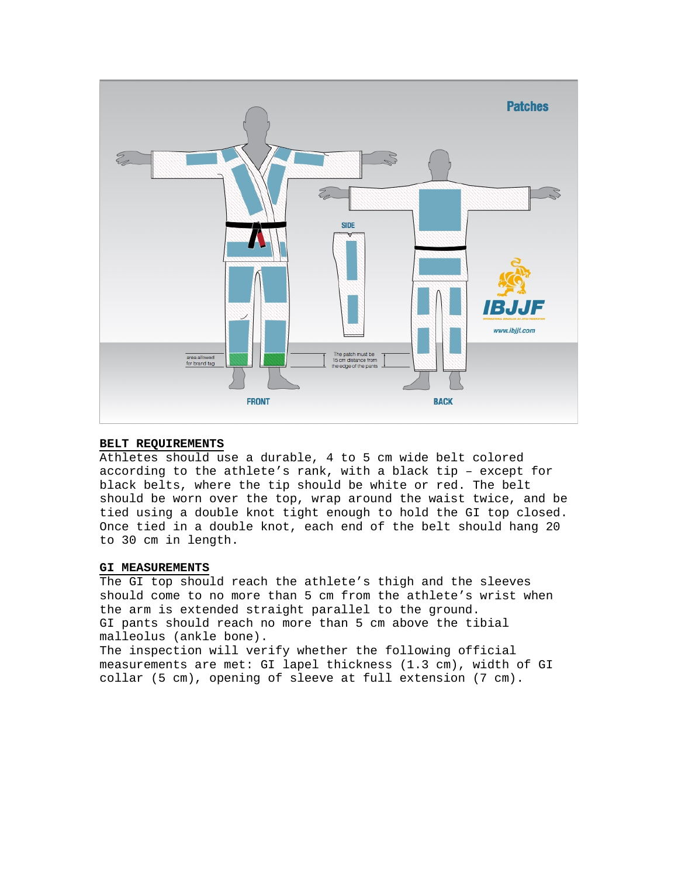

## **BELT REQUIREMENTS**

Athletes should use a durable, 4 to 5 cm wide belt colored according to the athlete's rank, with a black tip – except for black belts, where the tip should be white or red. The belt should be worn over the top, wrap around the waist twice, and be tied using a double knot tight enough to hold the GI top closed. Once tied in a double knot, each end of the belt should hang 20 to 30 cm in length.

# **GI MEASUREMENTS**

The GI top should reach the athlete's thigh and the sleeves should come to no more than 5 cm from the athlete's wrist when the arm is extended straight parallel to the ground. GI pants should reach no more than 5 cm above the tibial malleolus (ankle bone).

The inspection will verify whether the following official measurements are met: GI lapel thickness (1.3 cm), width of GI collar (5 cm), opening of sleeve at full extension (7 cm).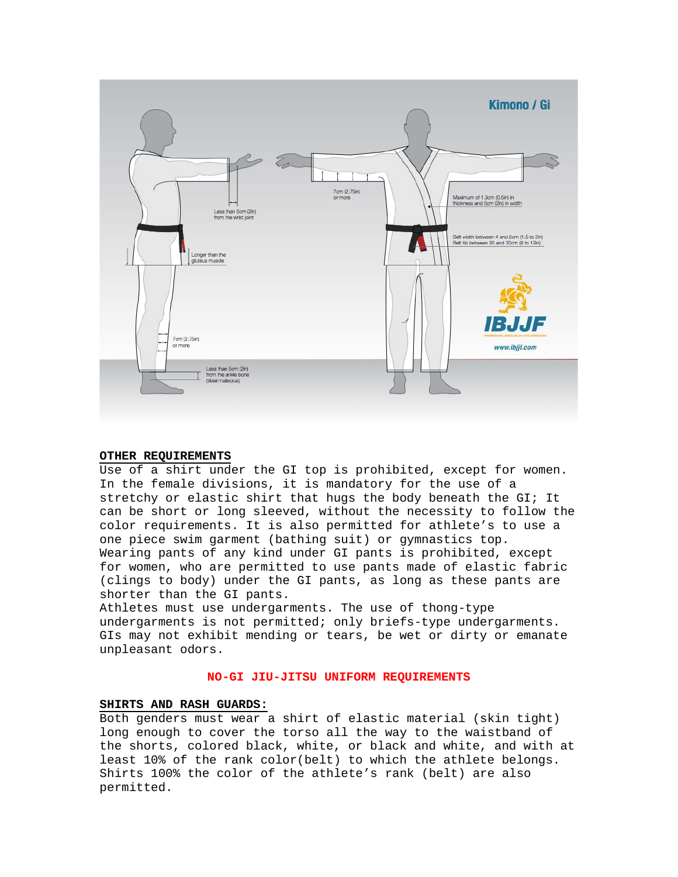

# **OTHER REQUIREMENTS**

Use of a shirt under the GI top is prohibited, except for women. In the female divisions, it is mandatory for the use of a stretchy or elastic shirt that hugs the body beneath the GI; It can be short or long sleeved, without the necessity to follow the color requirements. It is also permitted for athlete's to use a one piece swim garment (bathing suit) or gymnastics top. Wearing pants of any kind under GI pants is prohibited, except for women, who are permitted to use pants made of elastic fabric (clings to body) under the GI pants, as long as these pants are shorter than the GI pants.

Athletes must use undergarments. The use of thong-type undergarments is not permitted; only briefs-type undergarments. GIs may not exhibit mending or tears, be wet or dirty or emanate unpleasant odors.

#### **NO-GI JIU-JITSU UNIFORM REQUIREMENTS**

# **SHIRTS AND RASH GUARDS:**

Both genders must wear a shirt of elastic material (skin tight) long enough to cover the torso all the way to the waistband of the shorts, colored black, white, or black and white, and with at least 10% of the rank color(belt) to which the athlete belongs. Shirts 100% the color of the athlete's rank (belt) are also permitted.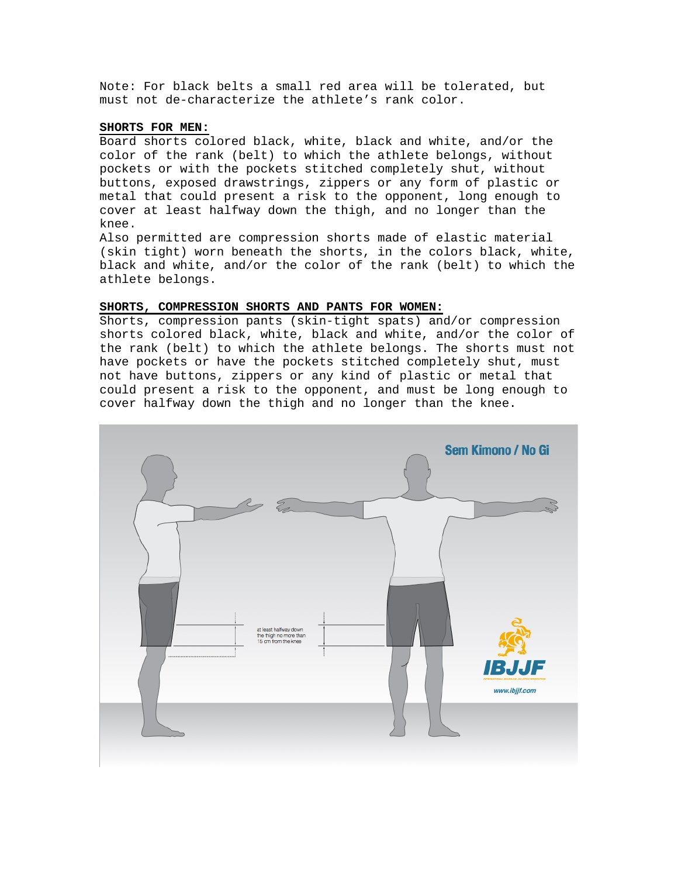Note: For black belts a small red area will be tolerated, but must not de-characterize the athlete's rank color.

# **SHORTS FOR MEN:**

Board shorts colored black, white, black and white, and/or the color of the rank (belt) to which the athlete belongs, without pockets or with the pockets stitched completely shut, without buttons, exposed drawstrings, zippers or any form of plastic or metal that could present a risk to the opponent, long enough to cover at least halfway down the thigh, and no longer than the knee.

Also permitted are compression shorts made of elastic material (skin tight) worn beneath the shorts, in the colors black, white, black and white, and/or the color of the rank (belt) to which the athlete belongs.

#### **SHORTS, COMPRESSION SHORTS AND PANTS FOR WOMEN:**

Shorts, compression pants (skin-tight spats) and/or compression shorts colored black, white, black and white, and/or the color of the rank (belt) to which the athlete belongs. The shorts must not have pockets or have the pockets stitched completely shut, must not have buttons, zippers or any kind of plastic or metal that could present a risk to the opponent, and must be long enough to cover halfway down the thigh and no longer than the knee.